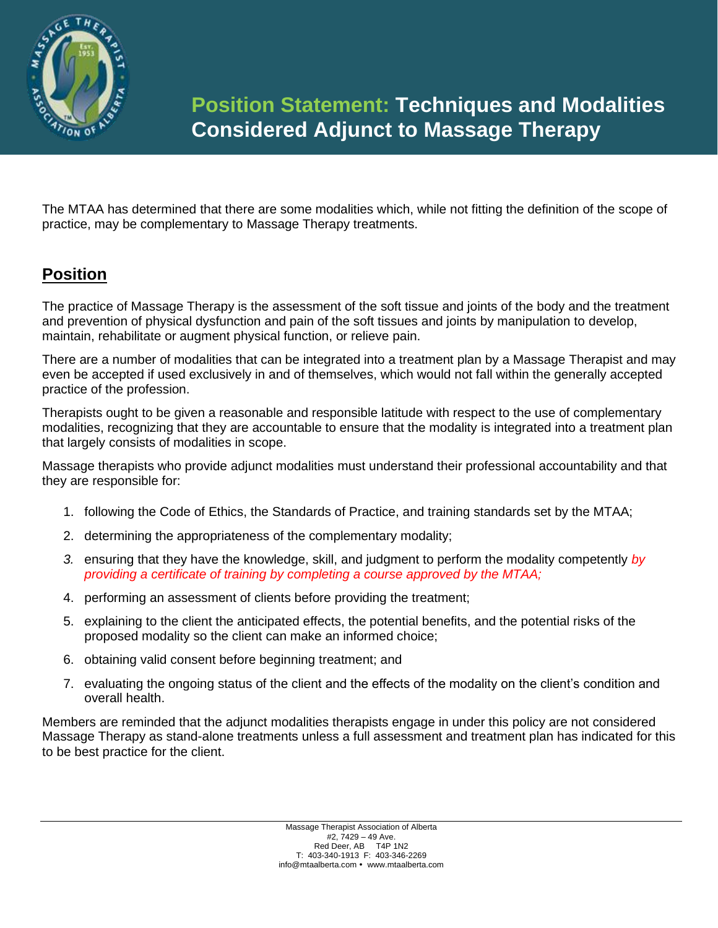

# **Position Statement: Techniques and Modalities Considered Adjunct to Massage Therapy**

The MTAA has determined that there are some modalities which, while not fitting the definition of the scope of practice, may be complementary to Massage Therapy treatments.

# **Position**

The practice of Massage Therapy is the assessment of the soft tissue and joints of the body and the treatment and prevention of physical dysfunction and pain of the soft tissues and joints by manipulation to develop, maintain, rehabilitate or augment physical function, or relieve pain.

There are a number of modalities that can be integrated into a treatment plan by a Massage Therapist and may even be accepted if used exclusively in and of themselves, which would not fall within the generally accepted practice of the profession.

Therapists ought to be given a reasonable and responsible latitude with respect to the use of complementary modalities, recognizing that they are accountable to ensure that the modality is integrated into a treatment plan that largely consists of modalities in scope.

Massage therapists who provide adjunct modalities must understand their professional accountability and that they are responsible for:

- 1. following the Code of Ethics, the Standards of Practice, and training standards set by the MTAA;
- 2. determining the appropriateness of the complementary modality;
- *3.* ensuring that they have the knowledge, skill, and judgment to perform the modality competently *by providing a certificate of training by completing a course approved by the MTAA;*
- 4. performing an assessment of clients before providing the treatment;
- 5. explaining to the client the anticipated effects, the potential benefits, and the potential risks of the proposed modality so the client can make an informed choice;
- 6. obtaining valid consent before beginning treatment; and
- 7. evaluating the ongoing status of the client and the effects of the modality on the client's condition and overall health.

Members are reminded that the adjunct modalities therapists engage in under this policy are not considered Massage Therapy as stand-alone treatments unless a full assessment and treatment plan has indicated for this to be best practice for the client.